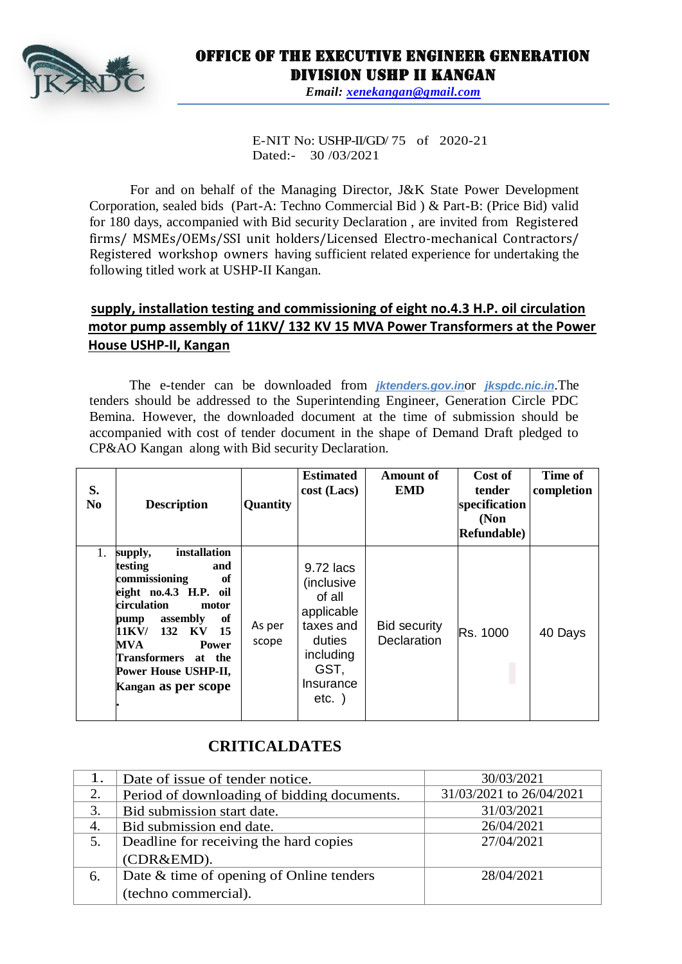

## Office of the Executive Engineer Generation Division USHP II Kangan

*Email: [xenekangan@gmail.com](mailto:xenekangan@gmail.com)*

E-NIT No: USHP-II/GD/ 75 of 2020-21 Dated:- 30 /03/2021

For and on behalf of the Managing Director, J&K State Power Development Corporation, sealed bids (Part-A: Techno Commercial Bid ) & Part-B: (Price Bid) valid for 180 days, accompanied with Bid security Declaration , are invited from Registered firms/ MSMEs/OEMs/SSI unit holders/Licensed Electro-mechanical Contractors/ Registered workshop owners having sufficient related experience for undertaking the following titled work at USHP-II Kangan.

## **supply, installation testing and commissioning of eight no.4.3 H.P. oil circulation motor pump assembly of 11KV/ 132 KV 15 MVA Power Transformers at the Power House USHP-II, Kangan**

The e-tender can be downloaded from *jktenders.gov.in*or *jkspdc.nic.in*.The tenders should be addressed to the Superintending Engineer, Generation Circle PDC Bemina. However, the downloaded document at the time of submission should be accompanied with cost of tender document in the shape of Demand Draft pledged to CP&AO Kangan along with Bid security Declaration.

| S.<br>N <sub>0</sub> | <b>Description</b>                                                                                                                                                                                                                                                      | Quantity        | <b>Estimated</b><br>$cost$ (Lacs)                                                                                    | Amount of<br><b>EMD</b>                   | Cost of<br>tender<br>specification<br>(Non<br><b>Refundable</b> ) | Time of<br>completion |
|----------------------|-------------------------------------------------------------------------------------------------------------------------------------------------------------------------------------------------------------------------------------------------------------------------|-----------------|----------------------------------------------------------------------------------------------------------------------|-------------------------------------------|-------------------------------------------------------------------|-----------------------|
| 1.                   | installation<br>supply,<br>testing<br>and<br>commissioning<br>of<br>eight no.4.3 H.P. oil<br>circulation<br>motor<br>of<br>assembly<br>pump<br>132<br>11KV/<br>KV<br>15<br>MVA<br><b>Power</b><br>Transformers<br>at the<br>Power House USHP-II,<br>Kangan as per scope | As per<br>scope | 9.72 lacs<br>(inclusive<br>of all<br>applicable<br>taxes and<br>duties<br>including<br>GST,<br>Insurance<br>$etc.$ ) | <b>Bid security</b><br><b>Declaration</b> | Rs. 1000                                                          | 40 Days               |

## **CRITICALDATES**

|    | Date of issue of tender notice.             | 30/03/2021               |  |
|----|---------------------------------------------|--------------------------|--|
| 2. | Period of downloading of bidding documents. | 31/03/2021 to 26/04/2021 |  |
| 3. | Bid submission start date.                  | 31/03/2021               |  |
| 4. | Bid submission end date.                    | 26/04/2021               |  |
|    | Deadline for receiving the hard copies      | 27/04/2021               |  |
|    | (CDR&EMD).                                  |                          |  |
| 6. | Date & time of opening of Online tenders    | 28/04/2021               |  |
|    | (techno commercial).                        |                          |  |